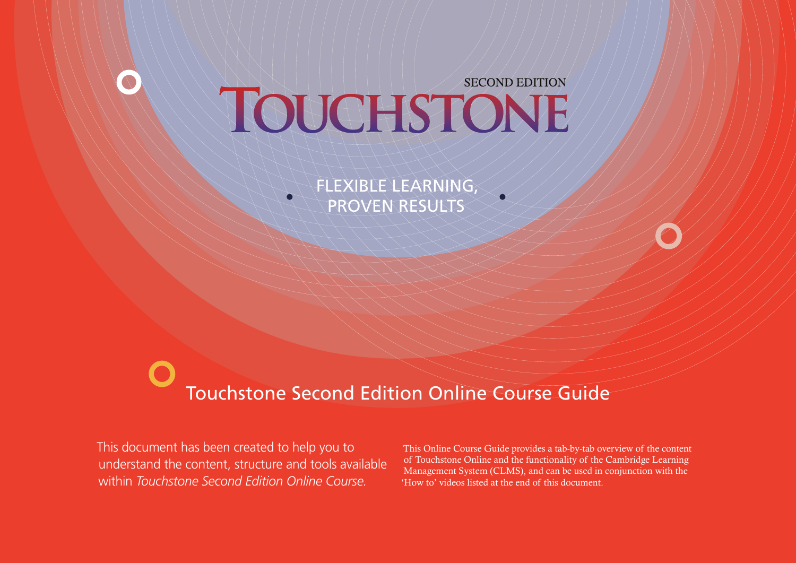## **SECOND EDITION** TOUCHSTONE

FLEXIBLE LEARNING, PROVEN RESULTS

# Touchstone Second Edition Online Course Guide

This document has been created to help you to understand the content, structure and tools available within *Touchstone Second Edition Online Course.*

This Online Course Guide provides a tab-by-tab overview of the content of Touchstone Online and the functionality of the Cambridge Learning Management System (CLMS), and can be used in conjunction with the 'How to' videos listed at the end of this document.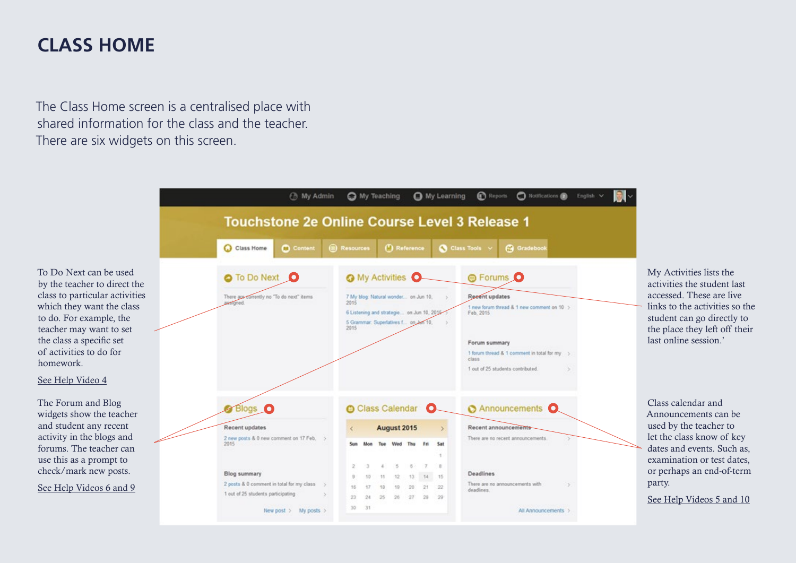#### **CLASS HOME**

The Class Home screen is a centralised place with shared information for the class and the teacher. There are six widgets on this screen.

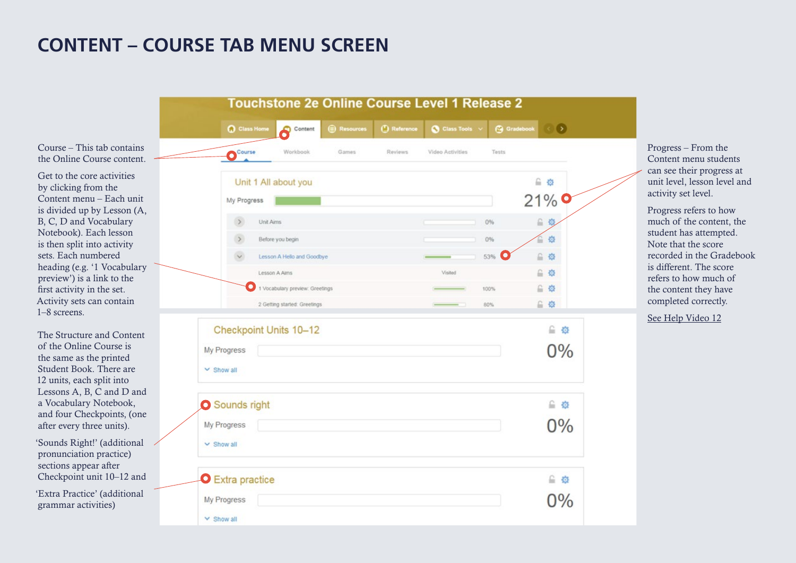#### **CONTENT – COURSE TAB MENU SCREEN**

Course – This tab contains the Online Course content.

Get to the core activities by clicking from the Content menu – Each unit is divided up by Lesson (A, B, C, D and Vocabulary Notebook). Each lesson is then split into activity sets. Each numbered heading (e.g. '1 Vocabulary preview') is a link to the first activity in the set. Activity sets can contain 1–8 screens.

The Structure and Content of the Online Course is the same as the printed Student Book. There are 12 units, each split into Lessons A, B, C and D and a Vocabulary Notebook, and four Checkpoints, (one after every three units).

'Sounds Right!' (additional pronunciation practice) sections appear after Checkpoint unit 10–12 and

'Extra Practice' (additional grammar activities)

|                                | <b>Q</b> Class Home | Content                         | (B) Resources | <b>C</b> Reference | Class Tools      |       | G Gradebook<br>$\odot$               |
|--------------------------------|---------------------|---------------------------------|---------------|--------------------|------------------|-------|--------------------------------------|
| Course                         |                     | Workbook                        | Games         | Reviews            | Video Activities | Tests |                                      |
|                                |                     | Unit 1 All about you            |               |                    |                  |       | 自豪                                   |
| My Progress                    |                     |                                 |               |                    |                  |       | 21%                                  |
| $\rightarrow$                  | Unit Aims           |                                 |               |                    |                  | 0%    | 自负                                   |
|                                |                     | Before you begin                |               |                    |                  | 0%    | 章<br>r.                              |
|                                |                     | Lesson A Hello and Goodbye      |               |                    |                  | 53%   | $\Omega_{\rm c}$<br>章                |
|                                | Lesson A Aims       |                                 |               |                    | Visited          |       | 自發                                   |
|                                |                     | 1 Vocabulary preview: Greetings |               |                    |                  | 100%  | 自發<br>自章                             |
| My Progress<br>$\vee$ Show all |                     | Checkpoint Units 10-12          |               |                    |                  |       | 自發<br>0%                             |
| Sounds right                   |                     |                                 |               |                    |                  |       | ≙ ☆                                  |
| My Progress<br>$\vee$ Show all |                     |                                 |               |                    |                  |       | 0%                                   |
| <b>O</b> Extra practice        |                     |                                 |               |                    |                  |       | 自發                                   |
| My Progress                    |                     |                                 |               |                    |                  |       | $\mathsf{D}^{0}\!/\!{}_{\mathsf{0}}$ |

Progress – From the Content menu students can see their progress at unit level, lesson level and activity set level.

Progress refers to how much of the content, the student has attempted. Note that the score recorded in the Gradebook is different. The score refers to how much of the content they have completed correctly.

[See Help Video 12](https://www.youtube.com/playlist?list=PL-oYKB0D9-E3AhcZOLloAsIWc4ycsyUu5)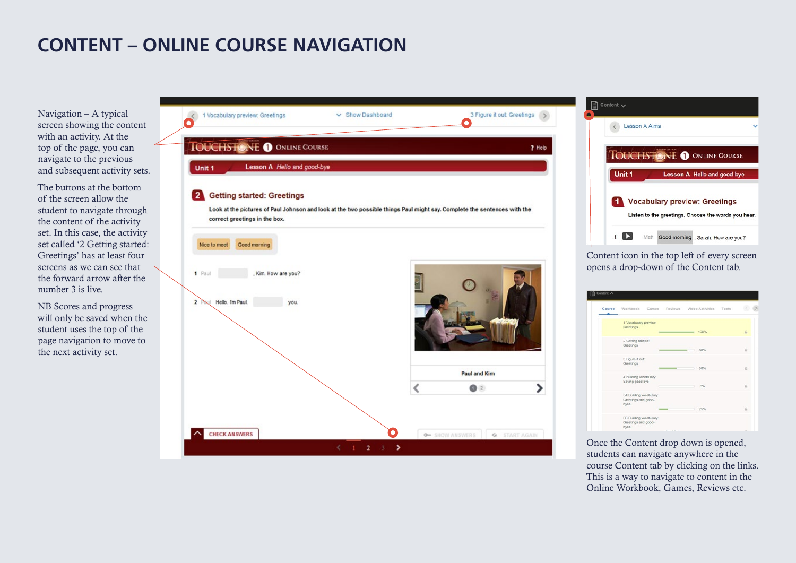## **CONTENT – ONLINE COURSE NAVIGATION**

Navigation – A typical screen showing the content with an activity. At the top of the page, you can navigate to the previous and subsequent activity sets.

The buttons at the bottom of the screen allow the student to navigate through the content of the activity set. In this case, the activity set called '2 Getting started: Greetings' has at least four screens as we can see that the forward arrow after the number 3 is live.

NB Scores and progress will only be saved when the student uses the top of the page navigation to move to the next activity set.



Once the Content drop down is opened, students can navigate anywhere in the course Content tab by clicking on the links. This is a way to navigate to content in the Online Workbook, Games, Reviews etc.

 $\overline{a}$ 

 $\Box$  Content  $\smile$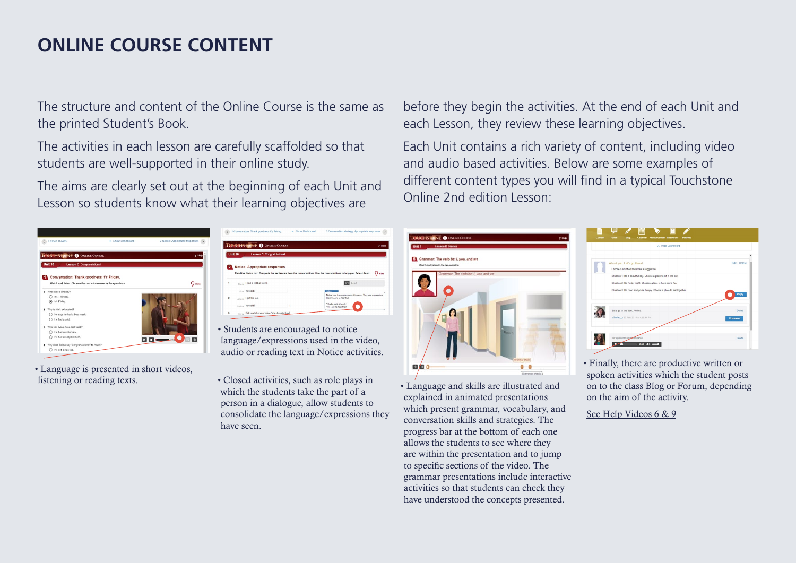#### **ONLINE COURSE CONTENT**

The structure and content of the Online Course is the same as the printed Student's Book.

The activities in each lesson are carefully scaffolded so that students are well-supported in their online study.

The aims are clearly set out at the beginning of each Unit and Lesson so students know what their learning objectives are



• Language is presented in short videos, listening or reading texts.

|                | Unit 10<br><b>Lesson C Congratulations!</b> |                                                                                                                     |
|----------------|---------------------------------------------|---------------------------------------------------------------------------------------------------------------------|
|                | 2 Notice: Appropriate responses             |                                                                                                                     |
|                |                                             | Read the Notice box. Complete the sentences from the conversations. Use the conversations to help you. Select Read. |
| 1              | Mark I had a cold all week.                 | <b>B</b> Read                                                                                                       |
|                | Fun You did?                                | <b>Notice</b>                                                                                                       |
|                | Adam I got the job.                         | Notice how the people respond to news. They use expressions<br>like I'm sony to hear that.                          |
| $\overline{2}$ |                                             |                                                                                                                     |

- Students are encouraged to notice language/expressions used in the video, audio or reading text in Notice activities.
- Closed activities, such as role plays in which the students take the part of a person in a dialogue, allow students to consolidate the language/expressions they have seen.



Each Unit contains a rich variety of content, including video and audio based activities. Below are some examples of different content types you will find in a typical Touchstone Online 2nd edition Lesson:

| Unit 1 | <b>Lesson B Names</b>                                                           |                                      |                                       |  |
|--------|---------------------------------------------------------------------------------|--------------------------------------|---------------------------------------|--|
|        | 6 Grammar: The verb be: I, you, and we<br>Watch and listen to the presentation. |                                      |                                       |  |
|        | r.                                                                              | Grammar: The verb be: I, you, and we | <b>Room O</b><br><b>Grammar</b> check |  |

• Language and skills are illustrated and explained in animated presentations which present grammar, vocabulary, and conversation skills and strategies. The progress bar at the bottom of each one allows the students to see where they are within the presentation and to jump to specific sections of the video. The grammar presentations include interactive activities so that students can check they have understood the concepts presented.

![](_page_4_Picture_13.jpeg)

• Finally, there are productive written or spoken activities which the student posts on to the class Blog or Forum, depending on the aim of the activity.

[See Help Videos 6 & 9](https://www.youtube.com/playlist?list=PL-oYKB0D9-E3AhcZOLloAsIWc4ycsyUu5)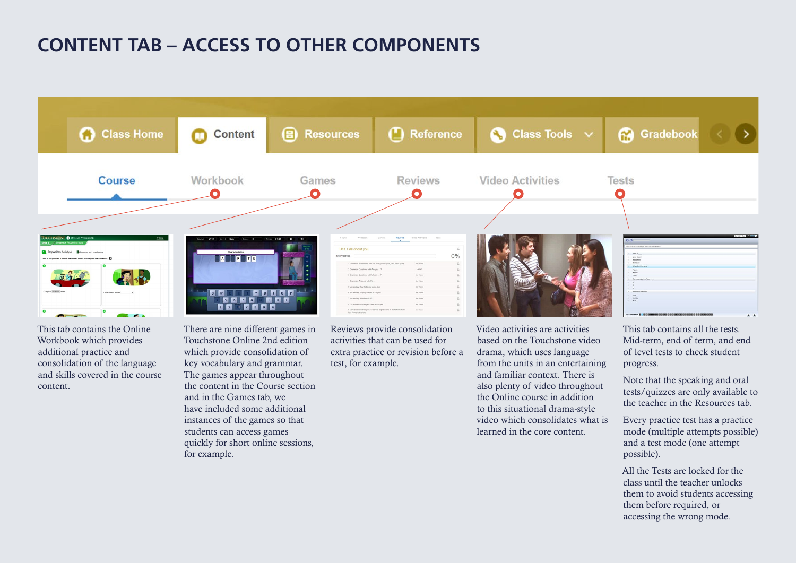#### **CONTENT TAB – ACCESS TO OTHER COMPONENTS**

![](_page_5_Figure_1.jpeg)

This tab contains the Online Workbook which provides additional practice and consolidation of the language and skills covered in the course content.

There are nine different games in Touchstone Online 2nd edition which provide consolidation of key vocabulary and grammar. The games appear throughout the content in the Course section and in the Games tab, we have included some additional instances of the games so that students can access games quickly for short online sessions, for example.

Reviews provide consolidation activities that can be used for extra practice or revision before a test, for example.

Video activities are activities based on the Touchstone video drama, which uses language from the units in an entertaining and familiar context. There is also plenty of video throughout the Online course in addition to this situational drama-style video which consolidates what is learned in the core content.

This tab contains all the tests. Mid-term, end of term, and end of level tests to check student progress.

Note that the speaking and oral tests/quizzes are only available to the teacher in the Resources tab.

Every practice test has a practice mode (multiple attempts possible) and a test mode (one attempt possible).

All the Tests are locked for the class until the teacher unlocks them to avoid students accessing them before required, or accessing the wrong mode.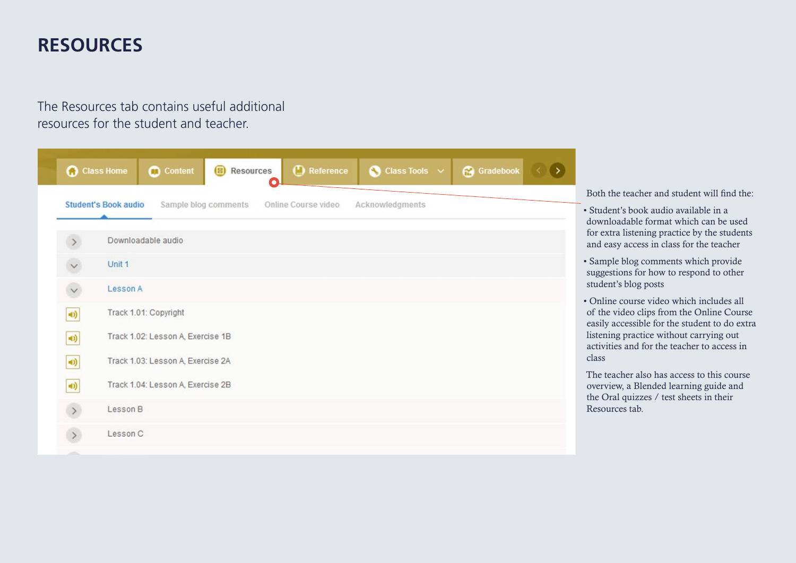#### **RESOURCES**

The Resources tab contains useful additional resources for the student and teacher.

![](_page_6_Picture_2.jpeg)

Both the teacher and student will find the:

- Student's book audio available in a downloadable format which can be used for extra listening practice by the students and easy access in class for the teacher
- Sample blog comments which provide suggestions for how to respond to other student's blog posts
- Online course video which includes all of the video clips from the Online Course easily accessible for the student to do extra listening practice without carrying out activities and for the teacher to access in class

The teacher also has access to this course overview, a Blended learning guide and the Oral quizzes / test sheets in their Resources tab.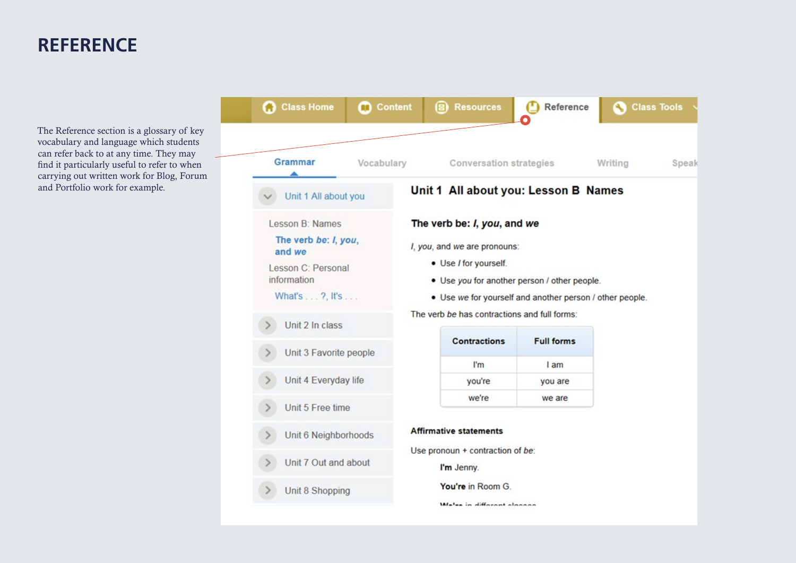#### **REFERENCE**

The Reference section is a glossary of key vocabulary and language which students can refer back to at any time. They may find it particularly useful to refer to when carrying out written work for Blog, Forum and Portfolio work for example.

![](_page_7_Picture_2.jpeg)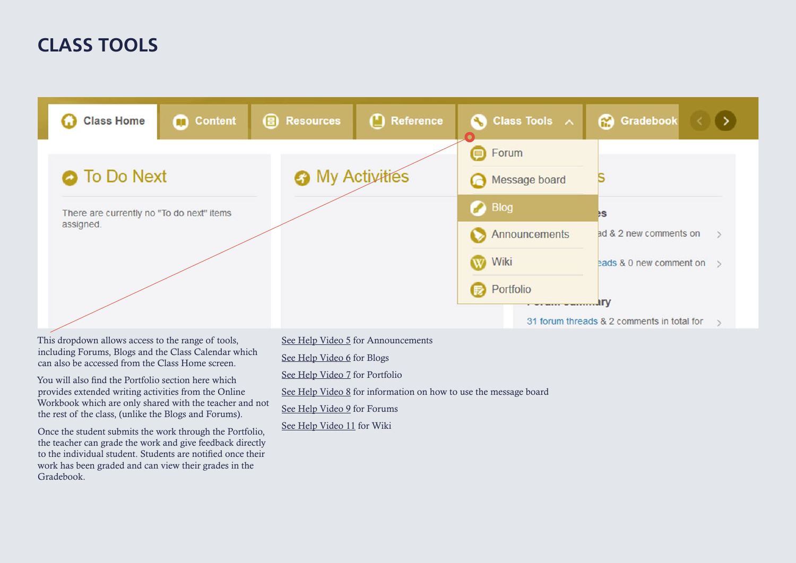## **CLASS TOOLS**

| <b>Class Home</b>                         | <b>Content</b> | <b>B</b> Resources     | Reference | <b>Class Tools</b> $\land$ | <b>Gradebook</b>                                  |  |
|-------------------------------------------|----------------|------------------------|-----------|----------------------------|---------------------------------------------------|--|
|                                           |                |                        |           | <b>B</b> Forum             |                                                   |  |
| <b>O</b> To Do Next                       |                | <b>O</b> My Activities |           | Message board              |                                                   |  |
| There are currently no "To do next" items |                |                        |           | <b>Blog</b>                | <b>BS</b>                                         |  |
| assigned.                                 |                |                        |           | Announcements              | ad & 2 new comments on                            |  |
|                                           |                |                        |           | Wiki                       | eads & 0 new comment on $\rightarrow$             |  |
|                                           |                |                        |           | Portfolio                  |                                                   |  |
|                                           |                |                        |           | <b>I WE WEEK WHEELERS</b>  | ury<br>31 forum threads & 2 comments in total for |  |

This dropdown allows access to the range of tools, including Forums, Blogs and the Class Calendar which can also be accessed from the Class Home screen.

You will also find the Portfolio section here which provides extended writing activities from the Online Workbook which are only shared with the teacher and not the rest of the class, (unlike the Blogs and Forums).

Once the student submits the work through the Portfolio, the teacher can grade the work and give feedback directly to the individual student. Students are notified once their work has been graded and can view their grades in the Gradebook.

[See Help Video 5](https://www.youtube.com/playlist?list=PL-oYKB0D9-E3AhcZOLloAsIWc4ycsyUu5) for Announcements

[See Help Video 6](https://www.youtube.com/playlist?list=PL-oYKB0D9-E3AhcZOLloAsIWc4ycsyUu5) for Blogs

[See Help Video 7](https://www.youtube.com/playlist?list=PL-oYKB0D9-E3AhcZOLloAsIWc4ycsyUu5) for Portfolio

[See Help Video 8](https://www.youtube.com/playlist?list=PL-oYKB0D9-E3AhcZOLloAsIWc4ycsyUu5) for information on how to use the message board

[See Help Video 9](https://www.youtube.com/playlist?list=PL-oYKB0D9-E3AhcZOLloAsIWc4ycsyUu5) for Forums

[See Help Video 11](https://www.youtube.com/playlist?list=PL-oYKB0D9-E3AhcZOLloAsIWc4ycsyUu5) for Wiki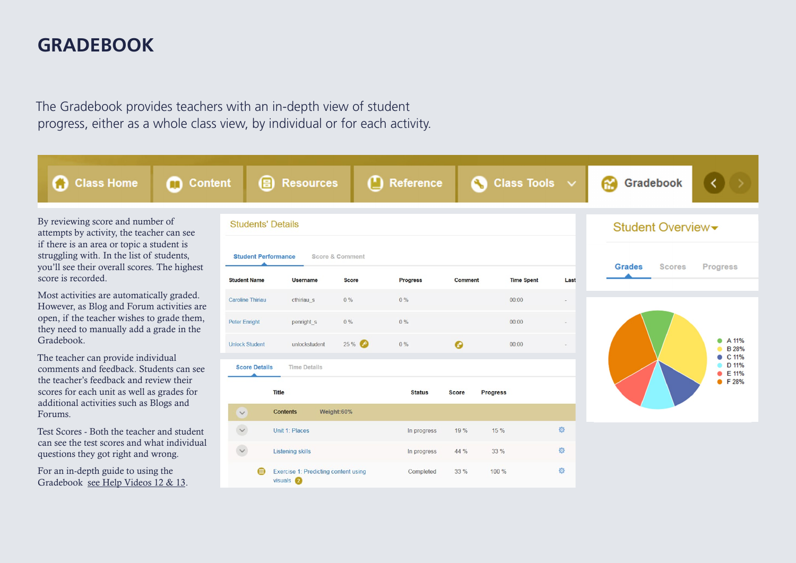#### **GRADEBOOK**

The Gradebook provides teachers with an in-depth view of student progress, either as a whole class view, by individual or for each activity.

**Conten** 

m

By reviewing score and number of attempts by activity, the teacher can see if there is an area or topic a student is struggling with. In the list of students, you'll see their overall scores. The highest score is recorded.

**Class Home** 

O

Most activities are automatically graded. However, as Blog and Forum activities are open, if the teacher wishes to grade them, they need to manually add a grade in the Gradebook.

The teacher can provide individual comments and feedback. Students can see the teacher's feedback and review their scores for each unit as well as grades for additional activities such as Blogs and Forums.

Test Scores - Both the teacher and student can see the test scores and what individual questions they got right and wrong.

For an in-depth guide to using the Gradebook [see Help Videos 12 & 13](https://www.youtube.com/playlist?list=PL-oYKB0D9-E3AhcZOLloAsIWc4ycsyUu5).

|                          | 8                          | <b>Resources</b>                                      |                 | Reference     |              |                 | $\bigcirc$ Class Tools $\vee$ |        |               | Gradebook        |                         |
|--------------------------|----------------------------|-------------------------------------------------------|-----------------|---------------|--------------|-----------------|-------------------------------|--------|---------------|------------------|-------------------------|
| <b>Students' Details</b> |                            |                                                       |                 |               |              |                 |                               |        |               | Student Overview |                         |
|                          | <b>Student Performance</b> |                                                       | Score & Comment |               |              |                 |                               |        | <b>Grades</b> | <b>Scores</b>    | Progress                |
| <b>Student Name</b>      |                            | <b>Username</b>                                       | <b>Score</b>    | Progress      | Comment      |                 | <b>Time Spent</b>             | Last   |               |                  |                         |
| <b>Caroline Thiriau</b>  |                            | cthiriau s                                            | $0\%$           | $0\%$         |              |                 | 00:00                         | $\sim$ |               |                  |                         |
| <b>Peter Enright</b>     |                            | penright s                                            | $0\%$           | $0\%$         |              |                 | 00:00                         |        |               |                  |                         |
| <b>Unlock Student</b>    |                            | unlockstudent                                         | 25%             | 0%            | $\bullet$    |                 | 00:00                         |        |               |                  | A 11%<br><b>B</b> 28%   |
| <b>Score Details</b>     |                            | <b>Time Details</b>                                   |                 |               |              |                 |                               |        |               |                  | C 11%<br>D 11%<br>E 11% |
|                          | <b>Title</b>               |                                                       |                 | <b>Status</b> | <b>Score</b> | <b>Progress</b> |                               |        |               |                  | • F 28%                 |
| $\checkmark$             |                            | <b>Contents</b>                                       | Weight:60%      |               |              |                 |                               |        |               |                  |                         |
| $\check{~}$              |                            | Unit 1: Places                                        |                 | In progress   | 19 %         | 15 %            |                               | 章      |               |                  |                         |
| $\checkmark$             |                            | <b>Listening skills</b>                               |                 | In progress   | 44 %         | 33 %            |                               | 资      |               |                  |                         |
|                          |                            | Exercise 1: Predicting content using<br>$visuals$ $2$ |                 | Completed     | 33 %         | 100 %           |                               | 资      |               |                  |                         |